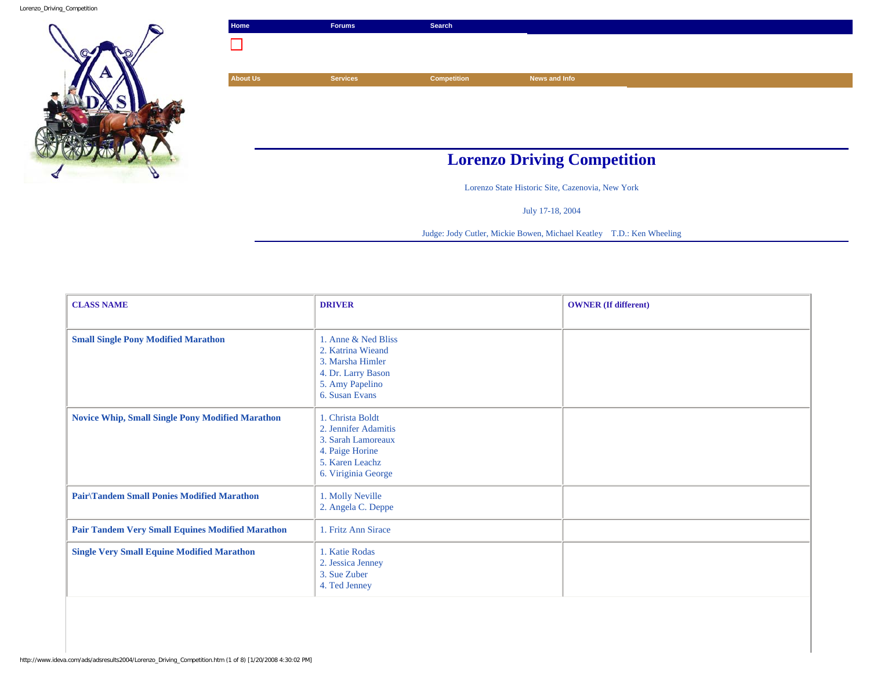Lorenzo\_Driving\_Competition



| Home            | <b>Forums</b>   | Search             |                                    |  |
|-----------------|-----------------|--------------------|------------------------------------|--|
|                 |                 |                    |                                    |  |
|                 |                 |                    |                                    |  |
| <b>About Us</b> | <b>Services</b> | <b>Competition</b> | News and Info                      |  |
|                 |                 |                    |                                    |  |
|                 |                 |                    |                                    |  |
|                 |                 |                    |                                    |  |
|                 |                 |                    |                                    |  |
|                 |                 |                    | <b>Lorenzo Driving Competition</b> |  |

Lorenzo State Historic Site, Cazenovia, New York

July 17-18, 2004

Judge: Jody Cutler, Mickie Bowen, Michael Keatley T.D.: Ken Wheeling

| <b>CLASS NAME</b>                                       | <b>DRIVER</b>                                                                                                               | <b>OWNER</b> (If different) |
|---------------------------------------------------------|-----------------------------------------------------------------------------------------------------------------------------|-----------------------------|
| <b>Small Single Pony Modified Marathon</b>              | 1. Anne & Ned Bliss<br>2. Katrina Wieand<br>3. Marsha Himler<br>4. Dr. Larry Bason<br>5. Amy Papelino<br>6. Susan Evans     |                             |
| <b>Novice Whip, Small Single Pony Modified Marathon</b> | 1. Christa Boldt<br>2. Jennifer Adamitis<br>3. Sarah Lamoreaux<br>4. Paige Horine<br>5. Karen Leachz<br>6. Viriginia George |                             |
| <b>Pair/Tandem Small Ponies Modified Marathon</b>       | 1. Molly Neville<br>2. Angela C. Deppe                                                                                      |                             |
| <b>Pair Tandem Very Small Equines Modified Marathon</b> | 1. Fritz Ann Sirace                                                                                                         |                             |
| <b>Single Very Small Equine Modified Marathon</b>       | 1. Katie Rodas<br>2. Jessica Jenney<br>3. Sue Zuber<br>4. Ted Jenney                                                        |                             |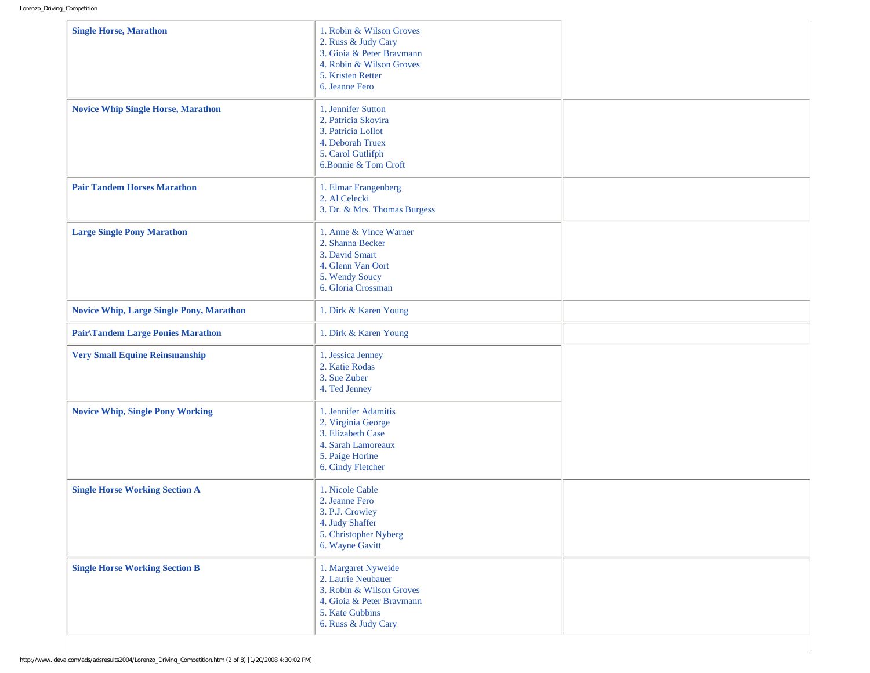| <b>Single Horse, Marathon</b>                   | 1. Robin & Wilson Groves<br>2. Russ & Judy Cary<br>3. Gioia & Peter Bravmann<br>4. Robin & Wilson Groves<br>5. Kristen Retter<br>6. Jeanne Fero |  |
|-------------------------------------------------|-------------------------------------------------------------------------------------------------------------------------------------------------|--|
| <b>Novice Whip Single Horse, Marathon</b>       | 1. Jennifer Sutton<br>2. Patricia Skovira<br>3. Patricia Lollot<br>4. Deborah Truex<br>5. Carol Gutlifph<br>6.Bonnie & Tom Croft                |  |
| <b>Pair Tandem Horses Marathon</b>              | 1. Elmar Frangenberg<br>2. Al Celecki<br>3. Dr. & Mrs. Thomas Burgess                                                                           |  |
| <b>Large Single Pony Marathon</b>               | 1. Anne & Vince Warner<br>2. Shanna Becker<br>3. David Smart<br>4. Glenn Van Oort<br>5. Wendy Soucy<br>6. Gloria Crossman                       |  |
| <b>Novice Whip, Large Single Pony, Marathon</b> | 1. Dirk & Karen Young                                                                                                                           |  |
| Pair\Tandem Large Ponies Marathon               | 1. Dirk & Karen Young                                                                                                                           |  |
| <b>Very Small Equine Reinsmanship</b>           | 1. Jessica Jenney<br>2. Katie Rodas<br>3. Sue Zuber<br>4. Ted Jenney                                                                            |  |
| <b>Novice Whip, Single Pony Working</b>         | 1. Jennifer Adamitis<br>2. Virginia George<br>3. Elizabeth Case<br>4. Sarah Lamoreaux<br>5. Paige Horine<br>6. Cindy Fletcher                   |  |
| <b>Single Horse Working Section A</b>           | 1. Nicole Cable<br>2. Jeanne Fero<br>3. P.J. Crowley<br>4. Judy Shaffer<br>5. Christopher Nyberg<br>6. Wayne Gavitt                             |  |
| <b>Single Horse Working Section B</b>           | 1. Margaret Nyweide<br>2. Laurie Neubauer<br>3. Robin & Wilson Groves<br>4. Gioia & Peter Bravmann<br>5. Kate Gubbins<br>6. Russ & Judy Cary    |  |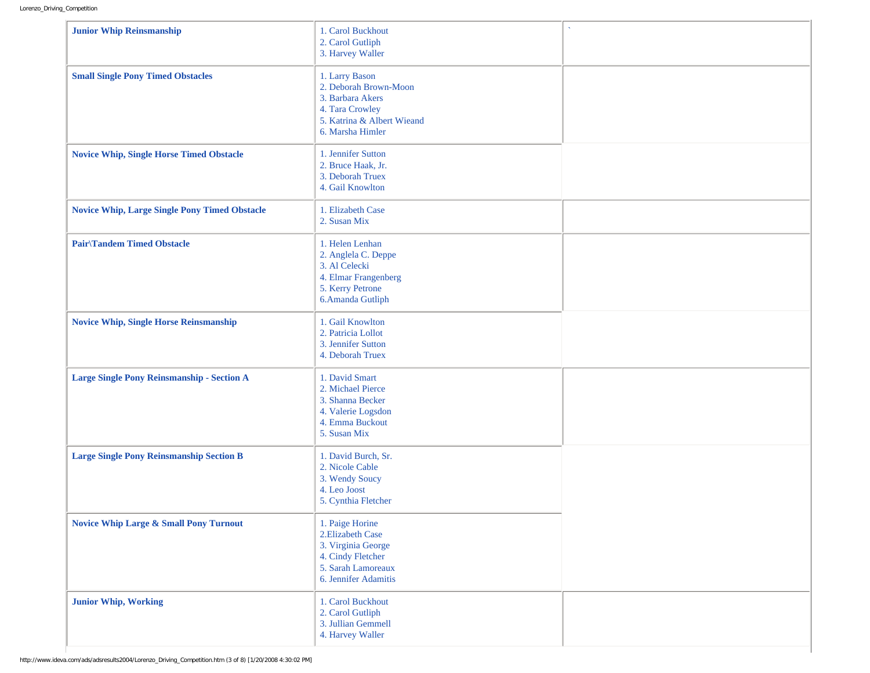| <b>Junior Whip Reinsmanship</b>                      | 1. Carol Buckhout<br>2. Carol Gutliph<br>3. Harvey Waller                                                                        |  |
|------------------------------------------------------|----------------------------------------------------------------------------------------------------------------------------------|--|
| <b>Small Single Pony Timed Obstacles</b>             | 1. Larry Bason<br>2. Deborah Brown-Moon<br>3. Barbara Akers<br>4. Tara Crowley<br>5. Katrina & Albert Wieand<br>6. Marsha Himler |  |
| <b>Novice Whip, Single Horse Timed Obstacle</b>      | 1. Jennifer Sutton<br>2. Bruce Haak, Jr.<br>3. Deborah Truex<br>4. Gail Knowlton                                                 |  |
| <b>Novice Whip, Large Single Pony Timed Obstacle</b> | 1. Elizabeth Case<br>2. Susan Mix                                                                                                |  |
| <b>Pair/Tandem Timed Obstacle</b>                    | 1. Helen Lenhan<br>2. Anglela C. Deppe<br>3. Al Celecki<br>4. Elmar Frangenberg<br>5. Kerry Petrone<br>6.Amanda Gutliph          |  |
| <b>Novice Whip, Single Horse Reinsmanship</b>        | 1. Gail Knowlton<br>2. Patricia Lollot<br>3. Jennifer Sutton<br>4. Deborah Truex                                                 |  |
| Large Single Pony Reinsmanship - Section A           | 1. David Smart<br>2. Michael Pierce<br>3. Shanna Becker<br>4. Valerie Logsdon<br>4. Emma Buckout<br>5. Susan Mix                 |  |
| <b>Large Single Pony Reinsmanship Section B</b>      | 1. David Burch, Sr.<br>2. Nicole Cable<br>3. Wendy Soucy<br>4. Leo Joost<br>5. Cynthia Fletcher                                  |  |
| <b>Novice Whip Large &amp; Small Pony Turnout</b>    | 1. Paige Horine<br>2. Elizabeth Case<br>3. Virginia George<br>4. Cindy Fletcher<br>5. Sarah Lamoreaux<br>6. Jennifer Adamitis    |  |
| <b>Junior Whip, Working</b>                          | 1. Carol Buckhout<br>2. Carol Gutliph<br>3. Jullian Gemmell<br>4. Harvey Waller                                                  |  |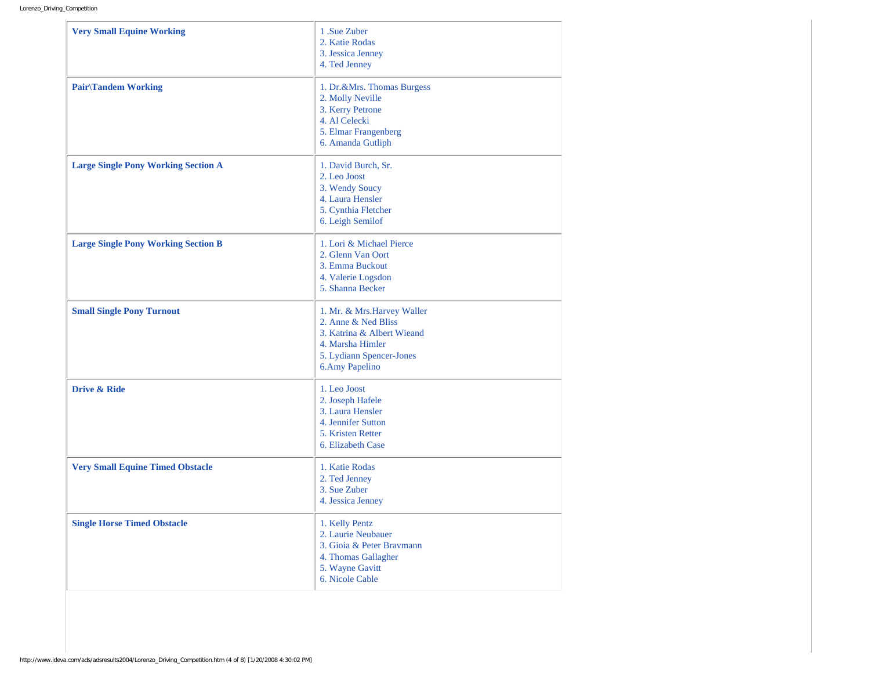| <b>Very Small Equine Working</b>           | 1 .Sue Zuber<br>2. Katie Rodas<br>3. Jessica Jenney<br>4. Ted Jenney                                                                                      |
|--------------------------------------------|-----------------------------------------------------------------------------------------------------------------------------------------------------------|
| <b>Pair</b> \Tandem Working                | 1. Dr.&Mrs. Thomas Burgess<br>2. Molly Neville<br>3. Kerry Petrone<br>4. Al Celecki<br>5. Elmar Frangenberg<br>6. Amanda Gutliph                          |
| <b>Large Single Pony Working Section A</b> | 1. David Burch, Sr.<br>2. Leo Joost<br>3. Wendy Soucy<br>4. Laura Hensler<br>5. Cynthia Fletcher<br>6. Leigh Semilof                                      |
| <b>Large Single Pony Working Section B</b> | 1. Lori & Michael Pierce<br>2. Glenn Van Oort<br>3. Emma Buckout<br>4. Valerie Logsdon<br>5. Shanna Becker                                                |
| <b>Small Single Pony Turnout</b>           | 1. Mr. & Mrs. Harvey Waller<br>2. Anne & Ned Bliss<br>3. Katrina & Albert Wieand<br>4. Marsha Himler<br>5. Lydiann Spencer-Jones<br><b>6.Amy Papelino</b> |
| <b>Drive &amp; Ride</b>                    | 1. Leo Joost<br>2. Joseph Hafele<br>3. Laura Hensler<br>4. Jennifer Sutton<br>5. Kristen Retter<br>6. Elizabeth Case                                      |
| <b>Very Small Equine Timed Obstacle</b>    | 1. Katie Rodas<br>2. Ted Jenney<br>3. Sue Zuber<br>4. Jessica Jenney                                                                                      |
| <b>Single Horse Timed Obstacle</b>         | 1. Kelly Pentz<br>2. Laurie Neubauer<br>3. Gioia & Peter Bravmann<br>4. Thomas Gallagher<br>5. Wayne Gavitt<br>6. Nicole Cable                            |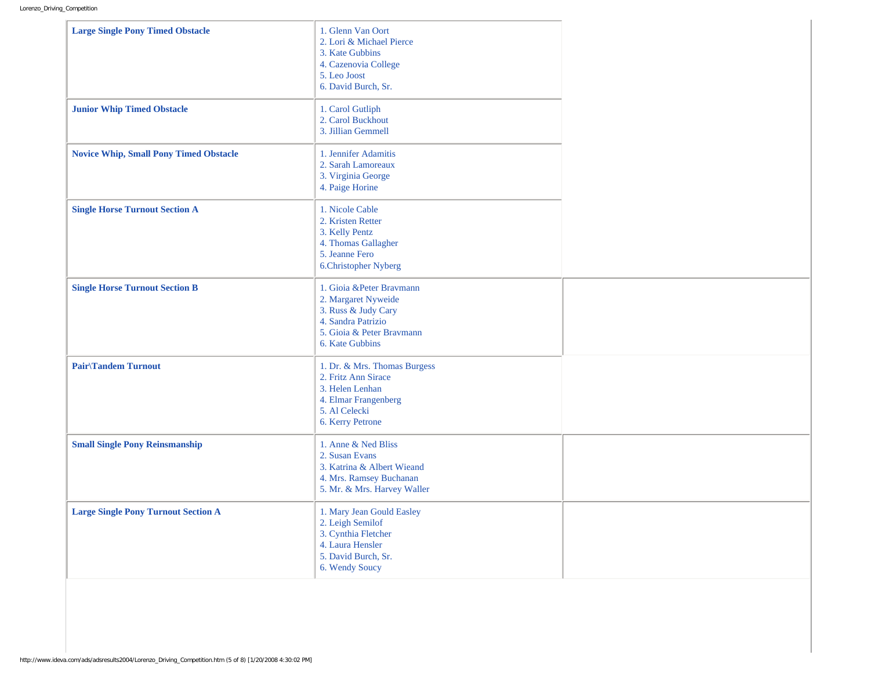| <b>Large Single Pony Timed Obstacle</b>       | 1. Glenn Van Oort<br>2. Lori & Michael Pierce<br>3. Kate Gubbins<br>4. Cazenovia College<br>5. Leo Joost<br>6. David Burch, Sr.               |  |
|-----------------------------------------------|-----------------------------------------------------------------------------------------------------------------------------------------------|--|
| <b>Junior Whip Timed Obstacle</b>             | 1. Carol Gutliph<br>2. Carol Buckhout<br>3. Jillian Gemmell                                                                                   |  |
| <b>Novice Whip, Small Pony Timed Obstacle</b> | 1. Jennifer Adamitis<br>2. Sarah Lamoreaux<br>3. Virginia George<br>4. Paige Horine                                                           |  |
| <b>Single Horse Turnout Section A</b>         | 1. Nicole Cable<br>2. Kristen Retter<br>3. Kelly Pentz<br>4. Thomas Gallagher<br>5. Jeanne Fero<br>6.Christopher Nyberg                       |  |
| <b>Single Horse Turnout Section B</b>         | 1. Gioia & Peter Bravmann<br>2. Margaret Nyweide<br>3. Russ & Judy Cary<br>4. Sandra Patrizio<br>5. Gioia & Peter Bravmann<br>6. Kate Gubbins |  |
| <b>Pair/Tandem Turnout</b>                    | 1. Dr. & Mrs. Thomas Burgess<br>2. Fritz Ann Sirace<br>3. Helen Lenhan<br>4. Elmar Frangenberg<br>5. Al Celecki<br>6. Kerry Petrone           |  |
| <b>Small Single Pony Reinsmanship</b>         | 1. Anne & Ned Bliss<br>2. Susan Evans<br>3. Katrina & Albert Wieand<br>4. Mrs. Ramsey Buchanan<br>5. Mr. & Mrs. Harvey Waller                 |  |
| <b>Large Single Pony Turnout Section A</b>    | 1. Mary Jean Gould Easley<br>2. Leigh Semilof<br>3. Cynthia Fletcher<br>4. Laura Hensler<br>5. David Burch, Sr.<br>6. Wendy Soucy             |  |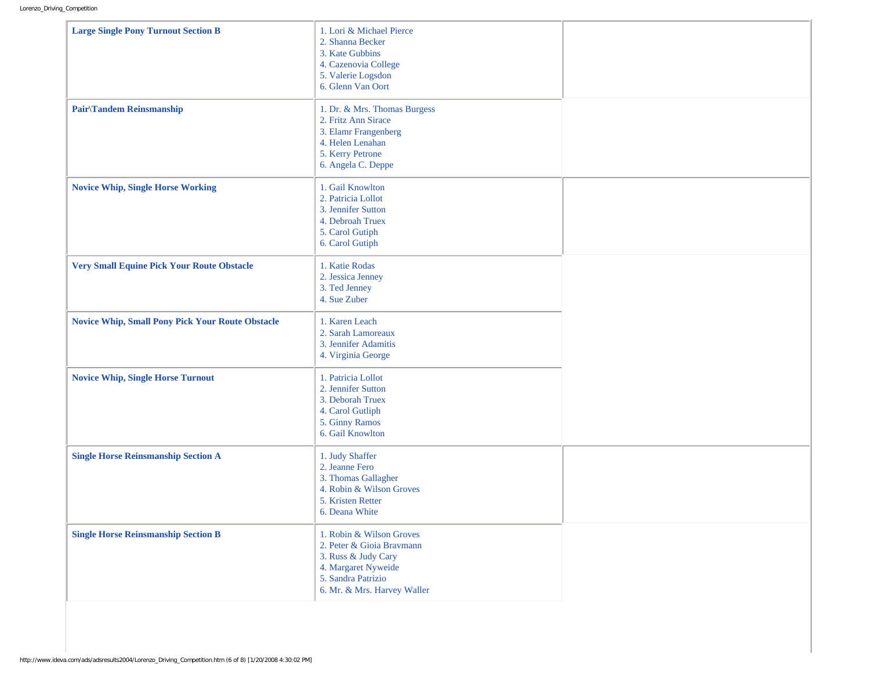| <b>Large Single Pony Turnout Section B</b>              | 1. Lori & Michael Pierce<br>2. Shanna Becker<br>3. Kate Gubbins<br>4. Cazenovia College<br>5. Valerie Logsdon<br>6. Glenn Van Oort                       |  |
|---------------------------------------------------------|----------------------------------------------------------------------------------------------------------------------------------------------------------|--|
| Pair\Tandem Reinsmanship                                | 1. Dr. & Mrs. Thomas Burgess<br>2. Fritz Ann Sirace<br>3. Elamr Frangenberg<br>4. Helen Lenahan<br>5. Kerry Petrone<br>6. Angela C. Deppe                |  |
| <b>Novice Whip, Single Horse Working</b>                | 1. Gail Knowlton<br>2. Patricia Lollot<br>3. Jennifer Sutton<br>4. Debroah Truex<br>5. Carol Gutiph<br>6. Carol Gutiph                                   |  |
| <b>Very Small Equine Pick Your Route Obstacle</b>       | 1. Katie Rodas<br>2. Jessica Jenney<br>3. Ted Jenney<br>4. Sue Zuber                                                                                     |  |
| <b>Novice Whip, Small Pony Pick Your Route Obstacle</b> | 1. Karen Leach<br>2. Sarah Lamoreaux<br>3. Jennifer Adamitis<br>4. Virginia George                                                                       |  |
| <b>Novice Whip, Single Horse Turnout</b>                | 1. Patricia Lollot<br>2. Jennifer Sutton<br>3. Deborah Truex<br>4. Carol Gutliph<br>5. Ginny Ramos<br>6. Gail Knowlton                                   |  |
| <b>Single Horse Reinsmanship Section A</b>              | 1. Judy Shaffer<br>2. Jeanne Fero<br>3. Thomas Gallagher<br>4. Robin & Wilson Groves<br>5. Kristen Retter<br>6. Deana White                              |  |
| <b>Single Horse Reinsmanship Section B</b>              | 1. Robin & Wilson Groves<br>2. Peter & Gioia Bravmann<br>3. Russ & Judy Cary<br>4. Margaret Nyweide<br>5. Sandra Patrizio<br>6. Mr. & Mrs. Harvey Waller |  |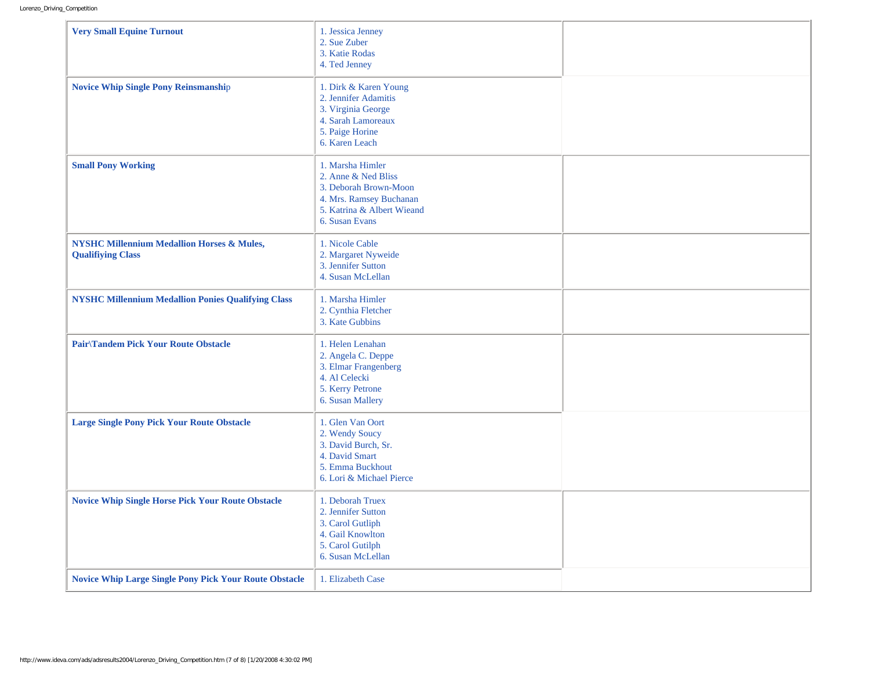| <b>Very Small Equine Turnout</b>                                                  | 1. Jessica Jenney<br>2. Sue Zuber<br>3. Katie Rodas<br>4. Ted Jenney                                                                        |  |
|-----------------------------------------------------------------------------------|---------------------------------------------------------------------------------------------------------------------------------------------|--|
| <b>Novice Whip Single Pony Reinsmanship</b>                                       | 1. Dirk & Karen Young<br>2. Jennifer Adamitis<br>3. Virginia George<br>4. Sarah Lamoreaux<br>5. Paige Horine<br>6. Karen Leach              |  |
| <b>Small Pony Working</b>                                                         | 1. Marsha Himler<br>2. Anne & Ned Bliss<br>3. Deborah Brown-Moon<br>4. Mrs. Ramsey Buchanan<br>5. Katrina & Albert Wieand<br>6. Susan Evans |  |
| <b>NYSHC Millennium Medallion Horses &amp; Mules,</b><br><b>Qualifiying Class</b> | 1. Nicole Cable<br>2. Margaret Nyweide<br>3. Jennifer Sutton<br>4. Susan McLellan                                                           |  |
| <b>NYSHC Millennium Medallion Ponies Qualifying Class</b>                         | 1. Marsha Himler<br>2. Cynthia Fletcher<br>3. Kate Gubbins                                                                                  |  |
| <b>Pair/Tandem Pick Your Route Obstacle</b>                                       | 1. Helen Lenahan<br>2. Angela C. Deppe<br>3. Elmar Frangenberg<br>4. Al Celecki<br>5. Kerry Petrone<br>6. Susan Mallery                     |  |
| <b>Large Single Pony Pick Your Route Obstacle</b>                                 | 1. Glen Van Oort<br>2. Wendy Soucy<br>3. David Burch, Sr.<br>4. David Smart<br>5. Emma Buckhout<br>6. Lori & Michael Pierce                 |  |
| <b>Novice Whip Single Horse Pick Your Route Obstacle</b>                          | 1. Deborah Truex<br>2. Jennifer Sutton<br>3. Carol Gutliph<br>4. Gail Knowlton<br>5. Carol Gutilph<br>6. Susan McLellan                     |  |
| <b>Novice Whip Large Single Pony Pick Your Route Obstacle</b>                     | 1. Elizabeth Case                                                                                                                           |  |